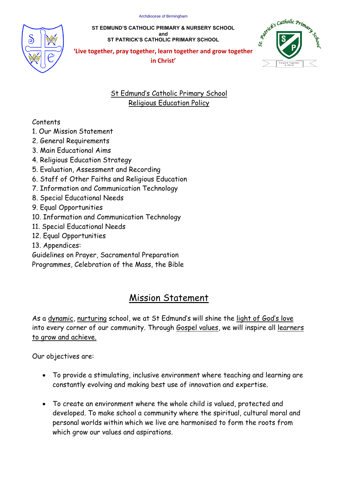

**ST EDMUND'S CATHOLIC PRIMARY & NURSERY SCHOOL and ST PATRICK'S CATHOLIC PRIMARY SCHOOL**



**'Live together, pray together, learn together and grow together**   $\mathbf{F}$  **in Christ'** 

# St Edmund's Catholic Primary School Religious Education Policy

# Contents

- 1. Our Mission Statement
- 2. General Requirements
- 3. Main Educational Aims
- 4. Religious Education Strategy
- 5. Evaluation, Assessment and Recording
- 6. Staff of Other Faiths and Religious Education
- 7. Information and Communication Technology
- 8. Special Educational Needs
- 9. Equal Opportunities
- 10. Information and Communication Technology
- 11. Special Educational Needs
- 12. Equal Opportunities
- 13. Appendices:

Guidelines on Prayer, Sacramental Preparation

Programmes, Celebration of the Mass, the Bible

# Mission Statement

As a dynamic, nurturing school, we at St Edmund's will shine the light of God's love into every corner of our community. Through Gospel values, we will inspire all learners to grow and achieve.

Our objectives are:

- To provide a stimulating, inclusive environment where teaching and learning are constantly evolving and making best use of innovation and expertise.
- To create an environment where the whole child is valued, protected and developed. To make school a community where the spiritual, cultural moral and personal worlds within which we live are harmonised to form the roots from which grow our values and aspirations.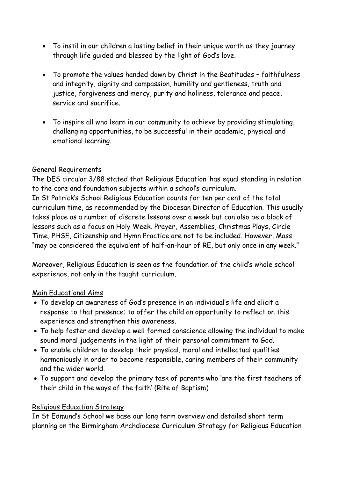- To instil in our children a lasting belief in their unique worth as they journey through life guided and blessed by the light of God's love.
- To promote the values handed down by Christ in the Beatitudes faithfulness and integrity, dignity and compassion, humility and gentleness, truth and justice, forgiveness and mercy, purity and holiness, tolerance and peace, service and sacrifice.
- To inspire all who learn in our community to achieve by providing stimulating, challenging opportunities, to be successful in their academic, physical and emotional learning.

### General Requirements

The DES circular 3/88 stated that Religious Education 'has equal standing in relation to the core and foundation subjects within a school's curriculum. In St Patrick's School Religious Education counts for ten per cent of the total curriculum time, as recommended by the Diocesan Director of Education. This usually takes place as a number of discrete lessons over a week but can also be a block of lessons such as a focus on Holy Week. Prayer, Assemblies, Christmas Plays, Circle Time, PHSE, Citizenship and Hymn Practice are not to be included. However, Mass "may be considered the equivalent of half-an-hour of RE, but only once in any week."

Moreover, Religious Education is seen as the foundation of the child's whole school experience, not only in the taught curriculum.

### Main Educational Aims

- To develop an awareness of God's presence in an individual's life and elicit a response to that presence; to offer the child an opportunity to reflect on this experience and strengthen this awareness.
- To help foster and develop a well formed conscience allowing the individual to make sound moral judgements in the light of their personal commitment to God.
- To enable children to develop their physical, moral and intellectual qualities harmoniously in order to become responsible, caring members of their community and the wider world.
- To support and develop the primary task of parents who 'are the first teachers of their child in the ways of the faith' (Rite of Baptism)

### Religious Education Strategy

In St Edmund's School we base our long term overview and detailed short term planning on the Birmingham Archdiocese Curriculum Strategy for Religious Education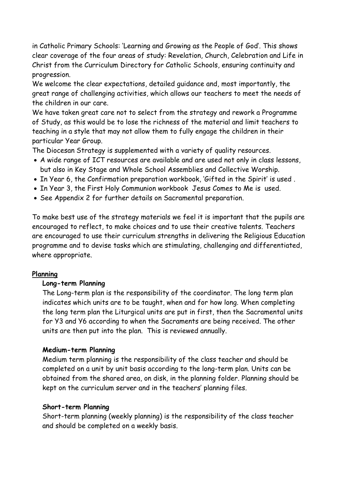in Catholic Primary Schools: 'Learning and Growing as the People of God'. This shows clear coverage of the four areas of study: Revelation, Church, Celebration and Life in Christ from the Curriculum Directory for Catholic Schools, ensuring continuity and progression.

We welcome the clear expectations, detailed guidance and, most importantly, the great range of challenging activities, which allows our teachers to meet the needs of the children in our care.

We have taken great care not to select from the strategy and rework a Programme of Study, as this would be to lose the richness of the material and limit teachers to teaching in a style that may not allow them to fully engage the children in their particular Year Group.

The Diocesan Strategy is supplemented with a variety of quality resources.

- A wide range of ICT resources are available and are used not only in class lessons, but also in Key Stage and Whole School Assemblies and Collective Worship.
- In Year 6, the Confirmation preparation workbook, 'Gifted in the Spirit' is used .
- In Year 3, the First Holy Communion workbook Jesus Comes to Me is used.
- See Appendix 2 for further details on Sacramental preparation.

To make best use of the strategy materials we feel it is important that the pupils are encouraged to reflect, to make choices and to use their creative talents. Teachers are encouraged to use their curriculum strengths in delivering the Religious Education programme and to devise tasks which are stimulating, challenging and differentiated, where appropriate.

### **Planning**

### **Long-term Planning**

The Long-term plan is the responsibility of the coordinator. The long term plan indicates which units are to be taught, when and for how long. When completing the long term plan the Liturgical units are put in first, then the Sacramental units for Y3 and Y6 according to when the Sacraments are being received. The other units are then put into the plan. This is reviewed annually.

#### **Medium-term Planning**

Medium term planning is the responsibility of the class teacher and should be completed on a unit by unit basis according to the long-term plan. Units can be obtained from the shared area, on disk, in the planning folder. Planning should be kept on the curriculum server and in the teachers' planning files.

#### **Short-term Planning**

Short-term planning (weekly planning) is the responsibility of the class teacher and should be completed on a weekly basis.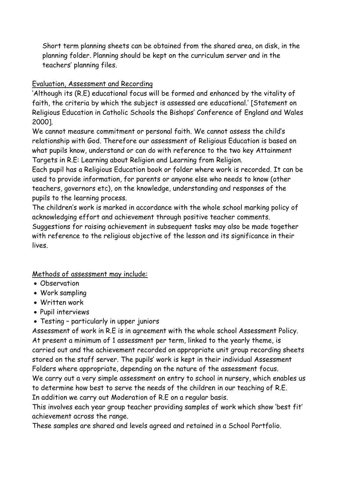Short term planning sheets can be obtained from the shared area, on disk, in the planning folder. Planning should be kept on the curriculum server and in the teachers' planning files.

# Evaluation, Assessment and Recording

'Although its (R.E) educational focus will be formed and enhanced by the vitality of faith, the criteria by which the subject is assessed are educational.' [Statement on Religious Education in Catholic Schools the Bishops' Conference of England and Wales 2000].

We cannot measure commitment or personal faith. We cannot assess the child's relationship with God. Therefore our assessment of Religious Education is based on what pupils know, understand or can do with reference to the two key Attainment Targets in R.E: Learning about Religion and Learning from Religion.

Each pupil has a Religious Education book or folder where work is recorded. It can be used to provide information, for parents or anyone else who needs to know (other teachers, governors etc), on the knowledge, understanding and responses of the pupils to the learning process.

The children's work is marked in accordance with the whole school marking policy of acknowledging effort and achievement through positive teacher comments. Suggestions for raising achievement in subsequent tasks may also be made together with reference to the religious objective of the lesson and its significance in their lives.

Methods of assessment may include:

- Observation
- Work sampling
- Written work
- Pupil interviews
- Testing particularly in upper juniors

Assessment of work in R.E is in agreement with the whole school Assessment Policy. At present a minimum of 1 assessment per term, linked to the yearly theme, is carried out and the achievement recorded on appropriate unit group recording sheets stored on the staff server. The pupils' work is kept in their individual Assessment Folders where appropriate, depending on the nature of the assessment focus.

We carry out a very simple assessment on entry to school in nursery, which enables us to determine how best to serve the needs of the children in our teaching of R.E. In addition we carry out Moderation of R.E on a regular basis.

This involves each year group teacher providing samples of work which show 'best fit' achievement across the range.

These samples are shared and levels agreed and retained in a School Portfolio.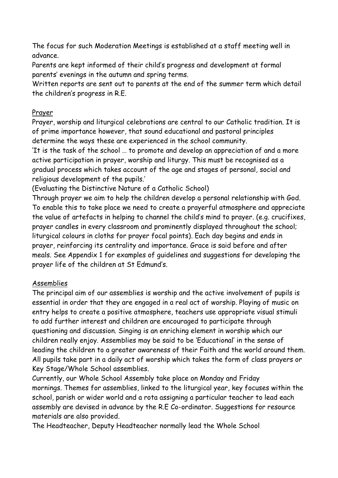The focus for such Moderation Meetings is established at a staff meeting well in advance.

Parents are kept informed of their child's progress and development at formal parents' evenings in the autumn and spring terms.

Written reports are sent out to parents at the end of the summer term which detail the children's progress in R.E.

## Prayer

Prayer, worship and liturgical celebrations are central to our Catholic tradition. It is of prime importance however, that sound educational and pastoral principles determine the ways these are experienced in the school community.

'It is the task of the school … to promote and develop an appreciation of and a more active participation in prayer, worship and liturgy. This must be recognised as a gradual process which takes account of the age and stages of personal, social and religious development of the pupils.'

(Evaluating the Distinctive Nature of a Catholic School)

Through prayer we aim to help the children develop a personal relationship with God. To enable this to take place we need to create a prayerful atmosphere and appreciate the value of artefacts in helping to channel the child's mind to prayer. (e.g. crucifixes, prayer candles in every classroom and prominently displayed throughout the school; liturgical colours in cloths for prayer focal points). Each day begins and ends in prayer, reinforcing its centrality and importance. Grace is said before and after meals. See Appendix 1 for examples of guidelines and suggestions for developing the prayer life of the children at St Edmund's.

### Assemblies

The principal aim of our assemblies is worship and the active involvement of pupils is essential in order that they are engaged in a real act of worship. Playing of music on entry helps to create a positive atmosphere, teachers use appropriate visual stimuli to add further interest and children are encouraged to participate through questioning and discussion. Singing is an enriching element in worship which our children really enjoy. Assemblies may be said to be 'Educational' in the sense of leading the children to a greater awareness of their Faith and the world around them. All pupils take part in a daily act of worship which takes the form of class prayers or Key Stage/Whole School assemblies.

Currently, our Whole School Assembly take place on Monday and Friday mornings. Themes for assemblies, linked to the liturgical year, key focuses within the school, parish or wider world and a rota assigning a particular teacher to lead each assembly are devised in advance by the R.E Co-ordinator. Suggestions for resource materials are also provided.

The Headteacher, Deputy Headteacher normally lead the Whole School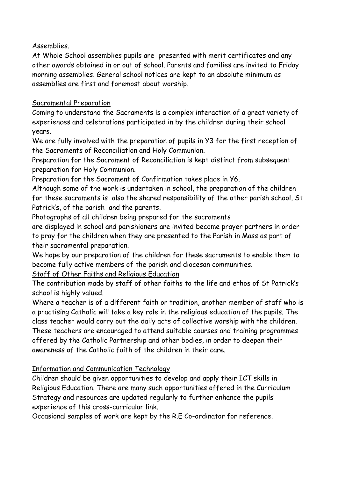Assemblies.

At Whole School assemblies pupils are presented with merit certificates and any other awards obtained in or out of school. Parents and families are invited to Friday morning assemblies. General school notices are kept to an absolute minimum as assemblies are first and foremost about worship.

# Sacramental Preparation

Coming to understand the Sacraments is a complex interaction of a great variety of experiences and celebrations participated in by the children during their school years.

We are fully involved with the preparation of pupils in Y3 for the first reception of the Sacraments of Reconciliation and Holy Communion.

Preparation for the Sacrament of Reconciliation is kept distinct from subsequent preparation for Holy Communion.

Preparation for the Sacrament of Confirmation takes place in Y6.

Although some of the work is undertaken in school, the preparation of the children for these sacraments is also the shared responsibility of the other parish school, St Patrick's, of the parish and the parents.

Photographs of all children being prepared for the sacraments

are displayed in school and parishioners are invited become prayer partners in order to pray for the children when they are presented to the Parish in Mass as part of their sacramental preparation.

We hope by our preparation of the children for these sacraments to enable them to become fully active members of the parish and diocesan communities.

Staff of Other Faiths and Religious Education

The contribution made by staff of other faiths to the life and ethos of St Patrick's school is highly valued.

Where a teacher is of a different faith or tradition, another member of staff who is a practising Catholic will take a key role in the religious education of the pupils. The class teacher would carry out the daily acts of collective worship with the children. These teachers are encouraged to attend suitable courses and training programmes offered by the Catholic Partnership and other bodies, in order to deepen their awareness of the Catholic faith of the children in their care.

# Information and Communication Technology

Children should be given opportunities to develop and apply their ICT skills in Religious Education. There are many such opportunities offered in the Curriculum Strategy and resources are updated regularly to further enhance the pupils' experience of this cross-curricular link.

Occasional samples of work are kept by the R.E Co-ordinator for reference.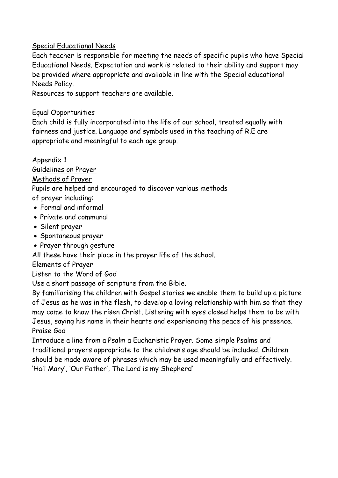### Special Educational Needs

Each teacher is responsible for meeting the needs of specific pupils who have Special Educational Needs. Expectation and work is related to their ability and support may be provided where appropriate and available in line with the Special educational Needs Policy.

Resources to support teachers are available.

# Equal Opportunities

Each child is fully incorporated into the life of our school, treated equally with fairness and justice. Language and symbols used in the teaching of R.E are appropriate and meaningful to each age group.

Appendix 1 Guidelines on Prayer Methods of Prayer Pupils are helped and encouraged to discover various methods of prayer including: Formal and informal Private and communal

- Silent prayer
- Spontaneous prayer
- Prayer through gesture

All these have their place in the prayer life of the school.

Elements of Prayer

# Listen to the Word of God

Use a short passage of scripture from the Bible.

By familiarising the children with Gospel stories we enable them to build up a picture of Jesus as he was in the flesh, to develop a loving relationship with him so that they may come to know the risen Christ. Listening with eyes closed helps them to be with Jesus, saying his name in their hearts and experiencing the peace of his presence. Praise God

Introduce a line from a Psalm a Eucharistic Prayer. Some simple Psalms and traditional prayers appropriate to the children's age should be included. Children should be made aware of phrases which may be used meaningfully and effectively. 'Hail Mary', 'Our Father', The Lord is my Shepherd'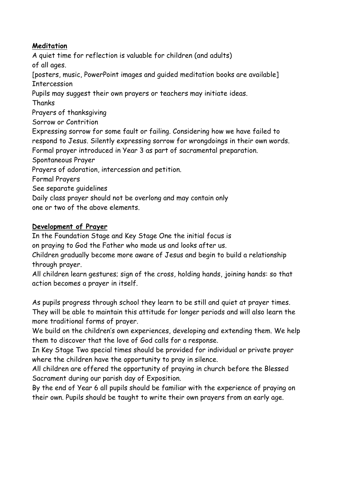# **Meditation**

A quiet time for reflection is valuable for children (and adults) of all ages. [posters, music, PowerPoint images and guided meditation books are available] Intercession Pupils may suggest their own prayers or teachers may initiate ideas. Thanks Prayers of thanksgiving Sorrow or Contrition Expressing sorrow for some fault or failing. Considering how we have failed to respond to Jesus. Silently expressing sorrow for wrongdoings in their own words. Formal prayer introduced in Year 3 as part of sacramental preparation. Spontaneous Prayer Prayers of adoration, intercession and petition. Formal Prayers See separate guidelines Daily class prayer should not be overlong and may contain only one or two of the above elements.

### **Development of Prayer**

In the Foundation Stage and Key Stage One the initial focus is on praying to God the Father who made us and looks after us.

Children gradually become more aware of Jesus and begin to build a relationship through prayer.

All children learn gestures; sign of the cross, holding hands, joining hands: so that action becomes a prayer in itself.

As pupils progress through school they learn to be still and quiet at prayer times. They will be able to maintain this attitude for longer periods and will also learn the more traditional forms of prayer.

We build on the children's own experiences, developing and extending them. We help them to discover that the love of God calls for a response.

In Key Stage Two special times should be provided for individual or private prayer where the children have the opportunity to pray in silence.

All children are offered the opportunity of praying in church before the Blessed Sacrament during our parish day of Exposition.

By the end of Year 6 all pupils should be familiar with the experience of praying on their own. Pupils should be taught to write their own prayers from an early age.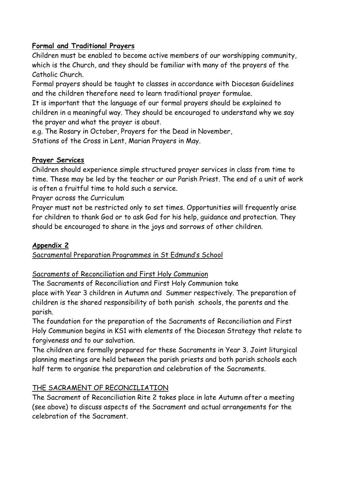## **Formal and Traditional Prayers**

Children must be enabled to become active members of our worshipping community, which is the Church, and they should be familiar with many of the prayers of the Catholic Church.

Formal prayers should be taught to classes in accordance with Diocesan Guidelines and the children therefore need to learn traditional prayer formulae.

It is important that the language of our formal prayers should be explained to children in a meaningful way. They should be encouraged to understand why we say the prayer and what the prayer is about.

e.g. The Rosary in October, Prayers for the Dead in November,

Stations of the Cross in Lent, Marian Prayers in May.

### **Prayer Services**

Children should experience simple structured prayer services in class from time to time. These may be led by the teacher or our Parish Priest. The end of a unit of work is often a fruitful time to hold such a service.

Prayer across the Curriculum

Prayer must not be restricted only to set times. Opportunities will frequently arise for children to thank God or to ask God for his help, guidance and protection. They should be encouraged to share in the joys and sorrows of other children.

# **Appendix 2**

Sacramental Preparation Programmes in St Edmund's School

# Sacraments of Reconciliation and First Holy Communion

The Sacraments of Reconciliation and First Holy Communion take place with Year 3 children in Autumn and Summer respectively. The preparation of children is the shared responsibility of both parish schools, the parents and the parish.

The foundation for the preparation of the Sacraments of Reconciliation and First Holy Communion begins in KS1 with elements of the Diocesan Strategy that relate to forgiveness and to our salvation.

The children are formally prepared for these Sacraments in Year 3. Joint liturgical planning meetings are held between the parish priests and both parish schools each half term to organise the preparation and celebration of the Sacraments.

# THE SACRAMENT OF RECONCILIATION

The Sacrament of Reconciliation Rite 2 takes place in late Autumn after a meeting (see above) to discuss aspects of the Sacrament and actual arrangements for the celebration of the Sacrament.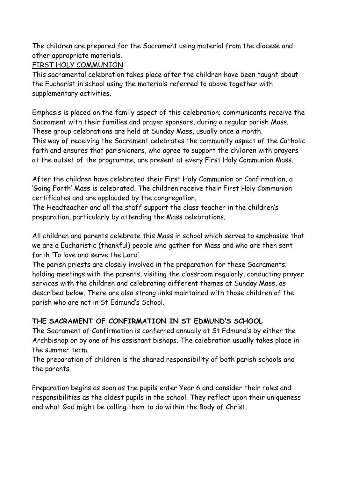The children are prepared for the Sacrament using material from the diocese and other appropriate materials.

### FIRST HOLY COMMUNION

This sacramental celebration takes place after the children have been taught about the Eucharist in school using the materials referred to above together with supplementary activities.

Emphasis is placed on the family aspect of this celebration; communicants receive the Sacrament with their families and prayer sponsors, during a regular parish Mass. These group celebrations are held at Sunday Mass, usually once a month. This way of receiving the Sacrament celebrates the community aspect of the Catholic faith and ensures that parishioners, who agree to support the children with prayers at the outset of the programme, are present at every First Holy Communion Mass.

After the children have celebrated their First Holy Communion or Confirmation, a 'Going Forth' Mass is celebrated. The children receive their First Holy Communion certificates and are applauded by the congregation.

The Headteacher and all the staff support the class teacher in the children's preparation, particularly by attending the Mass celebrations.

All children and parents celebrate this Mass in school which serves to emphasise that we are a Eucharistic (thankful) people who gather for Mass and who are then sent forth 'To love and serve the Lord'.

The parish priests are closely involved in the preparation for these Sacraments; holding meetings with the parents, visiting the classroom regularly, conducting prayer services with the children and celebrating different themes at Sunday Mass, as described below. There are also strong links maintained with those children of the parish who are not in St Edmund's School.

# **THE SACRAMENT OF CONFIRMATION IN ST EDMUND'S SCHOOL**

The Sacrament of Confirmation is conferred annually at St Edmund's by either the Archbishop or by one of his assistant bishops. The celebration usually takes place in the summer term.

The preparation of children is the shared responsibility of both parish schools and the parents.

Preparation begins as soon as the pupils enter Year 6 and consider their roles and responsibilities as the oldest pupils in the school. They reflect upon their uniqueness and what God might be calling them to do within the Body of Christ.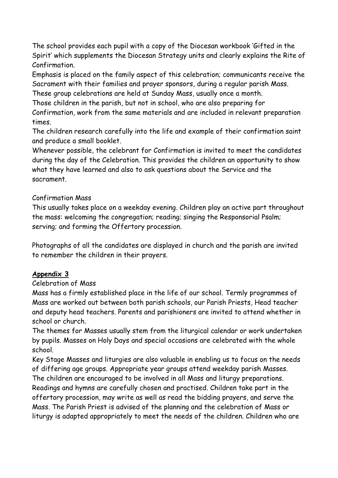The school provides each pupil with a copy of the Diocesan workbook 'Gifted in the Spirit' which supplements the Diocesan Strategy units and clearly explains the Rite of Confirmation.

Emphasis is placed on the family aspect of this celebration; communicants receive the Sacrament with their families and prayer sponsors, during a regular parish Mass.

These group celebrations are held at Sunday Mass, usually once a month.

Those children in the parish, but not in school, who are also preparing for

Confirmation, work from the same materials and are included in relevant preparation times.

The children research carefully into the life and example of their confirmation saint and produce a small booklet.

Whenever possible, the celebrant for Confirmation is invited to meet the candidates during the day of the Celebration. This provides the children an opportunity to show what they have learned and also to ask questions about the Service and the sacrament.

### Confirmation Mass

This usually takes place on a weekday evening. Children play an active part throughout the mass: welcoming the congregation; reading; singing the Responsorial Psalm; serving; and forming the Offertory procession.

Photographs of all the candidates are displayed in church and the parish are invited to remember the children in their prayers.

# **Appendix 3**

### Celebration of Mass

Mass has a firmly established place in the life of our school. Termly programmes of Mass are worked out between both parish schools, our Parish Priests, Head teacher and deputy head teachers. Parents and parishioners are invited to attend whether in school or church.

The themes for Masses usually stem from the liturgical calendar or work undertaken by pupils. Masses on Holy Days and special occasions are celebrated with the whole school.

Key Stage Masses and liturgies are also valuable in enabling us to focus on the needs of differing age groups. Appropriate year groups attend weekday parish Masses. The children are encouraged to be involved in all Mass and liturgy preparations. Readings and hymns are carefully chosen and practised. Children take part in the offertory procession, may write as well as read the bidding prayers, and serve the Mass. The Parish Priest is advised of the planning and the celebration of Mass or liturgy is adapted appropriately to meet the needs of the children. Children who are